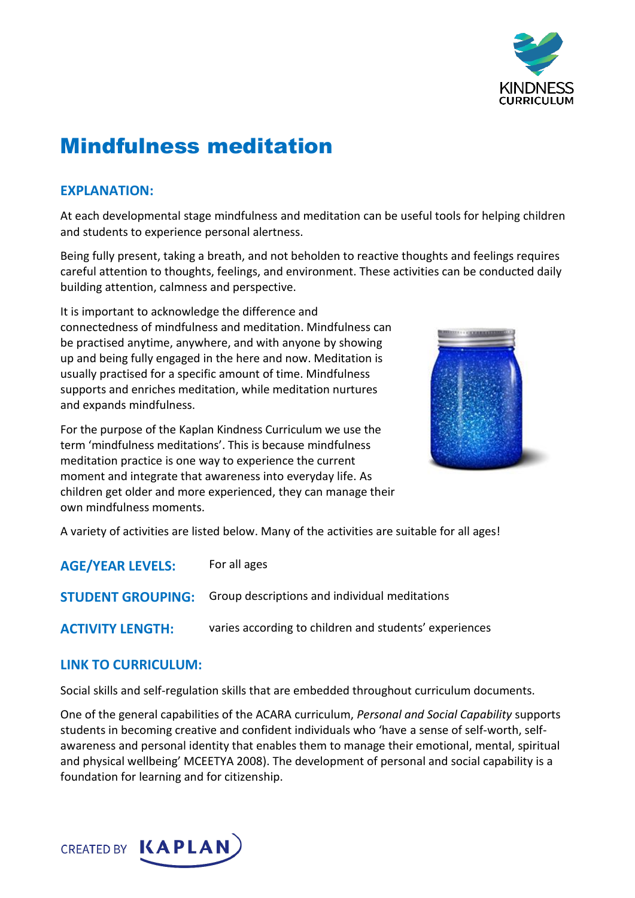

# Mindfulness meditation

# **EXPLANATION:**

At each developmental stage mindfulness and meditation can be useful tools for helping children and students to experience personal alertness.

Being fully present, taking a breath, and not beholden to reactive thoughts and feelings requires careful attention to thoughts, feelings, and environment. These activities can be conducted daily building attention, calmness and perspective.

It is important to acknowledge the difference and connectedness of mindfulness and meditation. Mindfulness can be practised anytime, anywhere, and with anyone by showing up and being fully engaged in the here and now. Meditation is usually practised for a specific amount of time. Mindfulness supports and enriches meditation, while meditation nurtures and expands mindfulness.

For the purpose of the Kaplan Kindness Curriculum we use the term 'mindfulness meditations'. This is because mindfulness meditation practice is one way to experience the current moment and integrate that awareness into everyday life. As children get older and more experienced, they can manage their own mindfulness moments.



A variety of activities are listed below. Many of the activities are suitable for all ages!

| <b>AGE/YEAR LEVELS:</b>  | For all ages                                           |
|--------------------------|--------------------------------------------------------|
| <b>STUDENT GROUPING:</b> | Group descriptions and individual meditations          |
| <b>ACTIVITY LENGTH:</b>  | varies according to children and students' experiences |

# **LINK TO CURRICULUM:**

Social skills and self-regulation skills that are embedded throughout curriculum documents.

One of the general capabilities of the ACARA curriculum, *Personal and Social Capability* supports students in becoming creative and confident individuals who 'have a sense of self-worth, selfawareness and personal identity that enables them to manage their emotional, mental, spiritual and physical wellbeing' MCEETYA 2008). The development of personal and social capability is a foundation for learning and for citizenship.

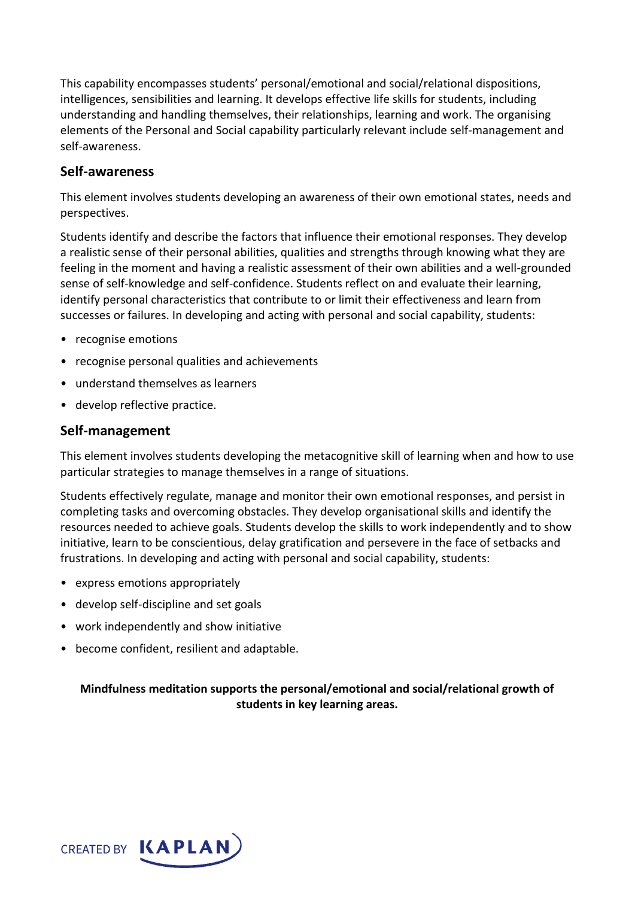This capability encompasses students' personal/emotional and social/relational dispositions, intelligences, sensibilities and learning. It develops effective life skills for students, including understanding and handling themselves, their relationships, learning and work. The organising elements of the Personal and Social capability particularly relevant include self-management and self-awareness.

#### **Self-awareness**

This element involves students developing an awareness of their own emotional states, needs and perspectives.

Students identify and describe the factors that influence their emotional responses. They develop a realistic sense of their personal abilities, qualities and strengths through knowing what they are feeling in the moment and having a realistic assessment of their own abilities and a well-grounded sense of self-knowledge and self-confidence. Students reflect on and evaluate their learning, identify personal characteristics that contribute to or limit their effectiveness and learn from successes or failures. In developing and acting with personal and social capability, students:

- recognise emotions
- recognise personal qualities and achievements
- understand themselves as learners
- develop reflective practice.

#### **Self-management**

This element involves students developing the metacognitive skill of learning when and how to use particular strategies to manage themselves in a range of situations.

Students effectively regulate, manage and monitor their own emotional responses, and persist in completing tasks and overcoming obstacles. They develop organisational skills and identify the resources needed to achieve goals. Students develop the skills to work independently and to show initiative, learn to be conscientious, delay gratification and persevere in the face of setbacks and frustrations. In developing and acting with personal and social capability, students:

- express emotions appropriately
- develop self-discipline and set goals
- work independently and show initiative
- become confident, resilient and adaptable.

### **Mindfulness meditation supports the personal/emotional and social/relational growth of students in key learning areas.**

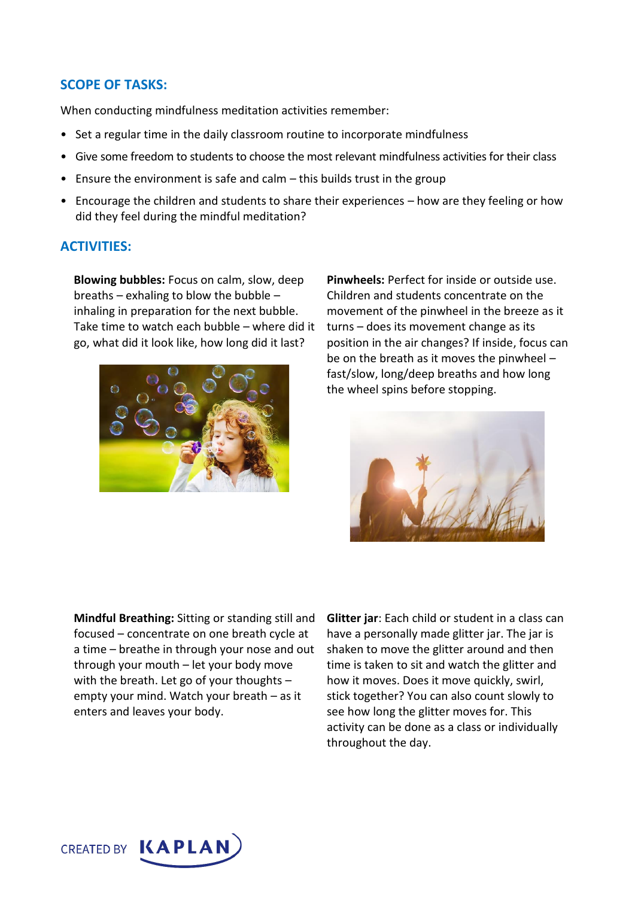### **SCOPE OF TASKS:**

When conducting mindfulness meditation activities remember:

- Set a regular time in the daily classroom routine to incorporate mindfulness
- Give some freedom to students to choose the most relevant mindfulness activities for their class
- Ensure the environment is safe and calm this builds trust in the group
- Encourage the children and students to share their experiences how are they feeling or how did they feel during the mindful meditation?

#### **ACTIVITIES:**

**Blowing bubbles:** Focus on calm, slow, deep breaths – exhaling to blow the bubble – inhaling in preparation for the next bubble. Take time to watch each bubble – where did it go, what did it look like, how long did it last?



**Pinwheels:** Perfect for inside or outside use. Children and students concentrate on the movement of the pinwheel in the breeze as it turns – does its movement change as its position in the air changes? If inside, focus can be on the breath as it moves the pinwheel – fast/slow, long/deep breaths and how long the wheel spins before stopping.



**Mindful Breathing:** Sitting or standing still and focused – concentrate on one breath cycle at a time – breathe in through your nose and out through your mouth – let your body move with the breath. Let go of your thoughts – empty your mind. Watch your breath – as it enters and leaves your body.

**Glitter jar**: Each child or student in a class can have a personally made glitter jar. The jar is shaken to move the glitter around and then time is taken to sit and watch the glitter and how it moves. Does it move quickly, swirl, stick together? You can also count slowly to see how long the glitter moves for. This activity can be done as a class or individually throughout the day.

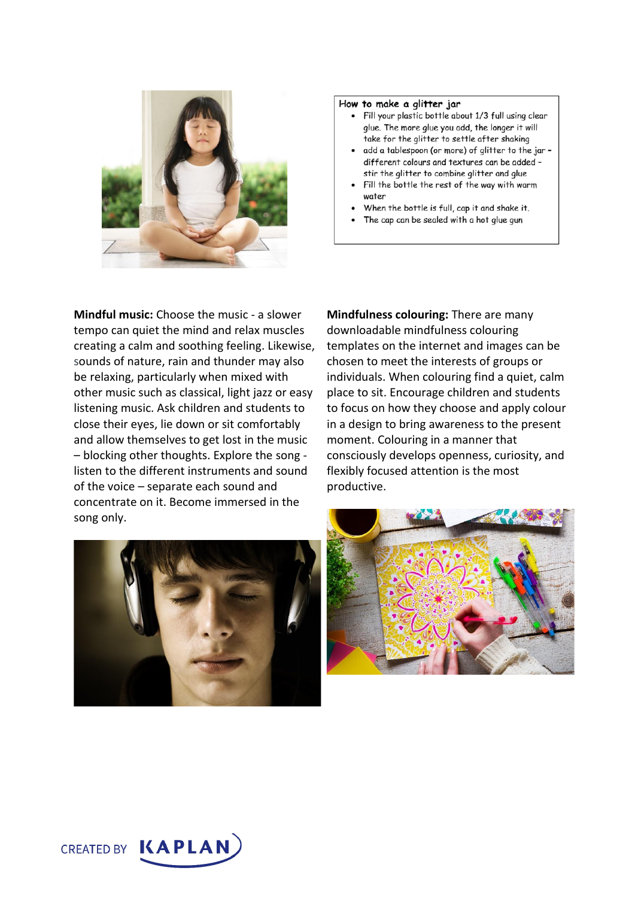

#### How to make a glitter jar

- . Fill your plastic bottle about 1/3 full using clear glue. The more glue you add, the longer it will take for the glitter to settle after shaking
- · add a tablespoon (or more) of glitter to the jardifferent colours and textures can be added stir the glitter to combine glitter and glue
- Fill the bottle the rest of the way with warm water
- When the bottle is full, cap it and shake it.
- The cap can be sealed with a hot glue gun

**Mindful music:** Choose the music - a slower tempo can quiet the mind and relax muscles creating a calm and soothing feeling. Likewise, sounds of nature, rain and thunder may also be relaxing, particularly when mixed with other music such as classical, light jazz or easy listening music. Ask children and students to close their eyes, lie down or sit comfortably and allow themselves to get lost in the music – blocking other thoughts. Explore the song listen to the different instruments and sound of the voice – separate each sound and concentrate on it. Become immersed in the song only.

**Mindfulness colouring:** There are many downloadable mindfulness colouring templates on the internet and images can be chosen to meet the interests of groups or individuals. When colouring find a quiet, calm place to sit. Encourage children and students to focus on how they choose and apply colour in a design to bring awareness to the present moment. Colouring in a manner that consciously develops openness, curiosity, and flexibly focused attention is the most productive.